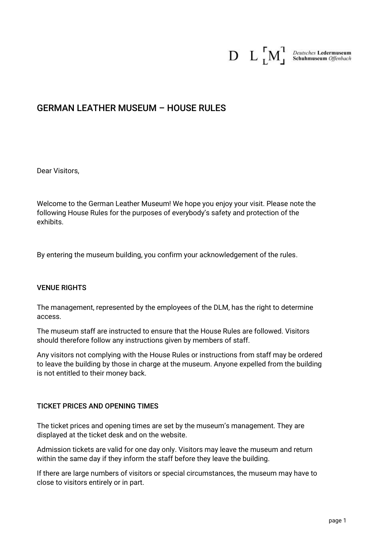

# GERMAN LEATHER MUSEUM – HOUSE RULES

Dear Visitors,

Welcome to the German Leather Museum! We hope you enjoy your visit. Please note the following House Rules for the purposes of everybody's safety and protection of the exhibits.

By entering the museum building, you confirm your acknowledgement of the rules.

#### VENUE RIGHTS

The management, represented by the employees of the DLM, has the right to determine access.

The museum staff are instructed to ensure that the House Rules are followed. Visitors should therefore follow any instructions given by members of staff.

Any visitors not complying with the House Rules or instructions from staff may be ordered to leave the building by those in charge at the museum. Anyone expelled from the building is not entitled to their money back.

#### TICKET PRICES AND OPENING TIMES

The ticket prices and opening times are set by the museum's management. They are displayed at the ticket desk and on the website.

Admission tickets are valid for one day only. Visitors may leave the museum and return within the same day if they inform the staff before they leave the building.

If there are large numbers of visitors or special circumstances, the museum may have to close to visitors entirely or in part.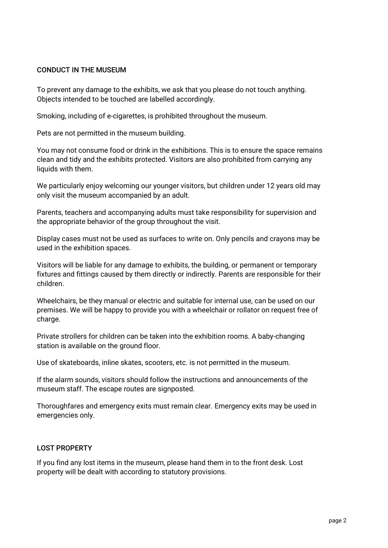#### CONDUCT IN THE MUSEUM

To prevent any damage to the exhibits, we ask that you please do not touch anything. Objects intended to be touched are labelled accordingly.

Smoking, including of e-cigarettes, is prohibited throughout the museum.

Pets are not permitted in the museum building.

You may not consume food or drink in the exhibitions. This is to ensure the space remains clean and tidy and the exhibits protected. Visitors are also prohibited from carrying any liquids with them.

We particularly enjoy welcoming our younger visitors, but children under 12 years old may only visit the museum accompanied by an adult.

Parents, teachers and accompanying adults must take responsibility for supervision and the appropriate behavior of the group throughout the visit.

Display cases must not be used as surfaces to write on. Only pencils and crayons may be used in the exhibition spaces.

Visitors will be liable for any damage to exhibits, the building, or permanent or temporary fixtures and fittings caused by them directly or indirectly. Parents are responsible for their children.

Wheelchairs, be they manual or electric and suitable for internal use, can be used on our premises. We will be happy to provide you with a wheelchair or rollator on request free of charge.

Private strollers for children can be taken into the exhibition rooms. A baby-changing station is available on the ground floor.

Use of skateboards, inline skates, scooters, etc. is not permitted in the museum.

If the alarm sounds, visitors should follow the instructions and announcements of the museum staff. The escape routes are signposted.

Thoroughfares and emergency exits must remain clear. Emergency exits may be used in emergencies only.

## LOST PROPERTY

If you find any lost items in the museum, please hand them in to the front desk. Lost property will be dealt with according to statutory provisions.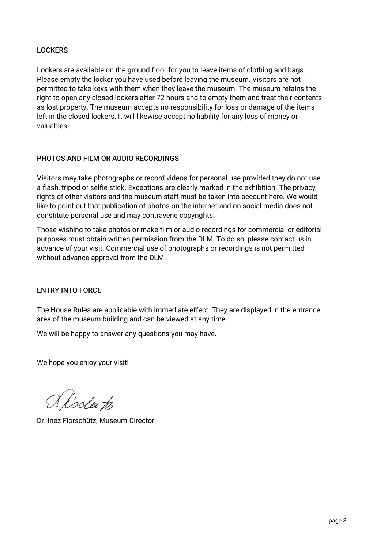# LOCKERS

Lockers are available on the ground floor for you to leave items of clothing and bags. Please empty the locker you have used before leaving the museum. Visitors are not permitted to take keys with them when they leave the museum. The museum retains the right to open any closed lockers after 72 hours and to empty them and treat their contents as lost property. The museum accepts no responsibility for loss or damage of the items left in the closed lockers. It will likewise accept no liability for any loss of money or valuables.

# PHOTOS AND FILM OR AUDIO RECORDINGS

Visitors may take photographs or record videos for personal use provided they do not use a flash, tripod or selfie stick. Exceptions are clearly marked in the exhibition. The privacy rights of other visitors and the museum staff must be taken into account here. We would like to point out that publication of photos on the internet and on social media does not constitute personal use and may contravene copyrights.

Those wishing to take photos or make film or audio recordings for commercial or editorial purposes must obtain written permission from the DLM. To do so, please contact us in advance of your visit. Commercial use of photographs or recordings is not permitted without advance approval from the DLM.

## ENTRY INTO FORCE

The House Rules are applicable with immediate effect. They are displayed in the entrance area of the museum building and can be viewed at any time.

We will be happy to answer any questions you may have.

We hope you enjoy your visit!

(Colta to

Dr. Inez Florschütz, Museum Director